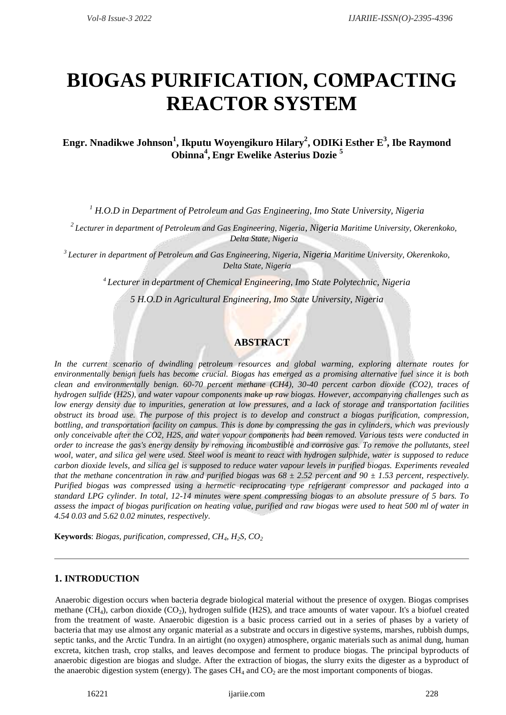# **BIOGAS PURIFICATION, COMPACTING REACTOR SYSTEM**

# **Engr. Nnadikwe Johnson<sup>1</sup> , Ikputu Woyengikuro Hilary<sup>2</sup> , ODIKi Esther E<sup>3</sup> , Ibe Raymond Obinna<sup>4</sup> , Engr Ewelike Asterius Dozie <sup>5</sup>**

*<sup>1</sup> H.O.D in Department of Petroleum and Gas Engineering, Imo State University, Nigeria*

*<sup>2</sup>Lecturer in department of Petroleum and Gas Engineering, Nigeria, Nigeria Maritime University, Okerenkoko, Delta State, Nigeria*

*3 Lecturer in department of Petroleum and Gas Engineering, Nigeria, Nigeria Maritime University, Okerenkoko, Delta State, Nigeria*

*<sup>4</sup> Lecturer in department of Chemical Engineering, Imo State Polytechnic, Nigeria*

*5 H.O.D in Agricultural Engineering, Imo State University, Nigeria*

# **ABSTRACT**

*In the current scenario of dwindling petroleum resources and global warming, exploring alternate routes for environmentally benign fuels has become crucial. Biogas has emerged as a promising alternative fuel since it is both clean and environmentally benign. 60-70 percent methane (CH4), 30-40 percent carbon dioxide (CO2), traces of hydrogen sulfide (H2S), and water vapour components make up raw biogas. However, accompanying challenges such as low energy density due to impurities, generation at low pressures, and a lack of storage and transportation facilities obstruct its broad use. The purpose of this project is to develop and construct a biogas purification, compression, bottling, and transportation facility on campus. This is done by compressing the gas in cylinders, which was previously only conceivable after the CO2, H2S, and water vapour components had been removed. Various tests were conducted in order to increase the gas's energy density by removing incombustible and corrosive gas. To remove the pollutants, steel wool, water, and silica gel were used. Steel wool is meant to react with hydrogen sulphide, water is supposed to reduce carbon dioxide levels, and silica gel is supposed to reduce water vapour levels in purified biogas. Experiments revealed that the methane concentration in raw and purified biogas was*  $68 \pm 2.52$  *percent and*  $90 \pm 1.53$  *percent, respectively. Purified biogas was compressed using a hermetic reciprocating type refrigerant compressor and packaged into a standard LPG cylinder. In total, 12-14 minutes were spent compressing biogas to an absolute pressure of 5 bars. To assess the impact of biogas purification on heating value, purified and raw biogas were used to heat 500 ml of water in 4.54 0.03 and 5.62 0.02 minutes, respectively.* 

**Keywords**: *Biogas, purification, compressed, CH4, H2S, CO<sup>2</sup>*

#### **1. INTRODUCTION**

Anaerobic digestion occurs when bacteria degrade biological material without the presence of oxygen. Biogas comprises methane (CH<sub>4</sub>), carbon dioxide (CO<sub>2</sub>), hydrogen sulfide (H2S), and trace amounts of water vapour. It's a biofuel created from the treatment of waste. Anaerobic digestion is a basic process carried out in a series of phases by a variety of bacteria that may use almost any organic material as a substrate and occurs in digestive systems, marshes, rubbish dumps, septic tanks, and the Arctic Tundra. In an airtight (no oxygen) atmosphere, organic materials such as animal dung, human excreta, kitchen trash, crop stalks, and leaves decompose and ferment to produce biogas. The principal byproducts of anaerobic digestion are biogas and sludge. After the extraction of biogas, the slurry exits the digester as a byproduct of the anaerobic digestion system (energy). The gases  $CH_4$  and  $CO_2$  are the most important components of biogas.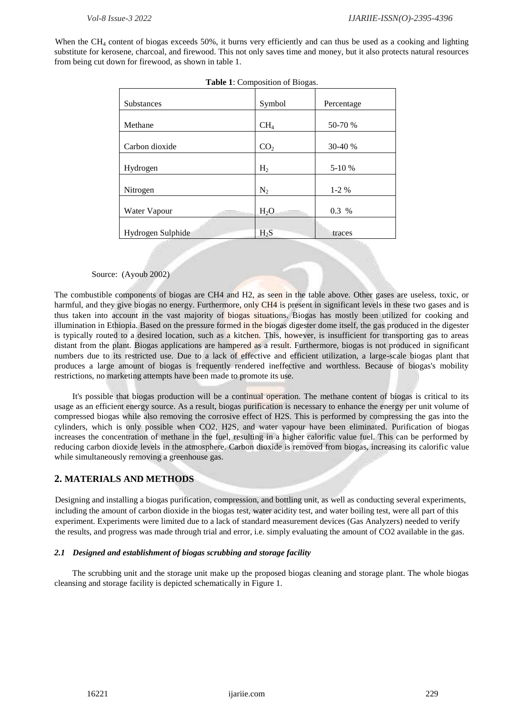When the CH<sub>4</sub> content of biogas exceeds 50%, it burns very efficiently and can thus be used as a cooking and lighting substitute for kerosene, charcoal, and firewood. This not only saves time and money, but it also protects natural resources from being cut down for firewood, as shown in table 1.

| <b>Table 1.</b> Composition of Diogas. |                  |            |
|----------------------------------------|------------------|------------|
| Substances                             | Symbol           | Percentage |
| Methane                                | CH <sub>4</sub>  | 50-70 %    |
| Carbon dioxide                         | CO <sub>2</sub>  | 30-40 %    |
| Hydrogen                               | H <sub>2</sub>   | 5-10 %     |
| Nitrogen                               | $N_2$            | $1-2%$     |
| Water Vapour                           | H <sub>2</sub> O | 0.3 %      |
| Hydrogen Sulphide                      | $H_2S$           | traces     |
|                                        |                  |            |

**Table 1**: Composition of Biogas.

Source: (Ayoub 2002)

The combustible components of biogas are CH4 and H2, as seen in the table above. Other gases are useless, toxic, or harmful, and they give biogas no energy. Furthermore, only CH4 is present in significant levels in these two gases and is thus taken into account in the vast majority of biogas situations. Biogas has mostly been utilized for cooking and illumination in Ethiopia. Based on the pressure formed in the biogas digester dome itself, the gas produced in the digester is typically routed to a desired location, such as a kitchen. This, however, is insufficient for transporting gas to areas distant from the plant. Biogas applications are hampered as a result. Furthermore, biogas is not produced in significant numbers due to its restricted use. Due to a lack of effective and efficient utilization, a large-scale biogas plant that produces a large amount of biogas is frequently rendered ineffective and worthless. Because of biogas's mobility restrictions, no marketing attempts have been made to promote its use.

It's possible that biogas production will be a continual operation. The methane content of biogas is critical to its usage as an efficient energy source. As a result, biogas purification is necessary to enhance the energy per unit volume of compressed biogas while also removing the corrosive effect of H2S. This is performed by compressing the gas into the cylinders, which is only possible when CO2, H2S, and water vapour have been eliminated. Purification of biogas increases the concentration of methane in the fuel, resulting in a higher calorific value fuel. This can be performed by reducing carbon dioxide levels in the atmosphere. Carbon dioxide is removed from biogas, increasing its calorific value while simultaneously removing a greenhouse gas.

#### **2. MATERIALS AND METHODS**

Designing and installing a biogas purification, compression, and bottling unit, as well as conducting several experiments, including the amount of carbon dioxide in the biogas test, water acidity test, and water boiling test, were all part of this experiment. Experiments were limited due to a lack of standard measurement devices (Gas Analyzers) needed to verify the results, and progress was made through trial and error, i.e. simply evaluating the amount of CO2 available in the gas.

#### *2.1 Designed and establishment of biogas scrubbing and storage facility*

The scrubbing unit and the storage unit make up the proposed biogas cleaning and storage plant. The whole biogas cleansing and storage facility is depicted schematically in Figure 1.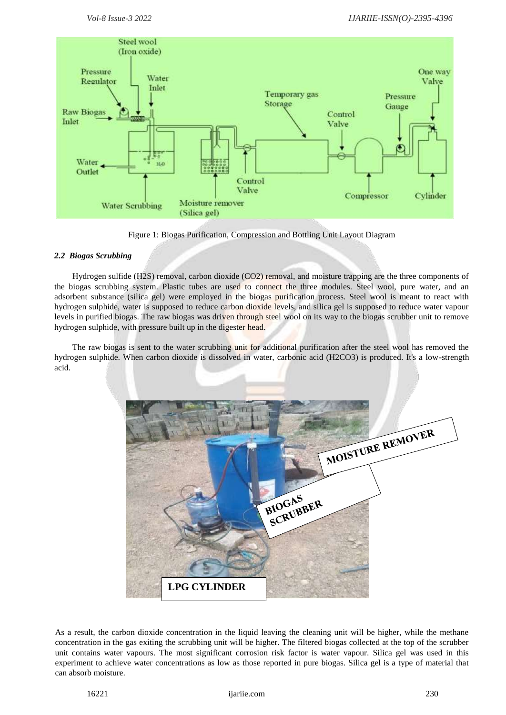

Figure 1: Biogas Purification, Compression and Bottling Unit Layout Diagram

## *2.2 Biogas Scrubbing*

Hydrogen sulfide (H2S) removal, carbon dioxide (CO2) removal, and moisture trapping are the three components of the biogas scrubbing system. Plastic tubes are used to connect the three modules. Steel wool, pure water, and an adsorbent substance (silica gel) were employed in the biogas purification process. Steel wool is meant to react with hydrogen sulphide, water is supposed to reduce carbon dioxide levels, and silica gel is supposed to reduce water vapour levels in purified biogas. The raw biogas was driven through steel wool on its way to the biogas scrubber unit to remove hydrogen sulphide, with pressure built up in the digester head.

The raw biogas is sent to the water scrubbing unit for additional purification after the steel wool has removed the hydrogen sulphide. When carbon dioxide is dissolved in water, carbonic acid (H2CO3) is produced. It's a low-strength acid.



As a result, the carbon dioxide concentration in the liquid leaving the cleaning unit will be higher, while the methane concentration in the gas exiting the scrubbing unit will be higher. The filtered biogas collected at the top of the scrubber unit contains water vapours. The most significant corrosion risk factor is water vapour. Silica gel was used in this experiment to achieve water concentrations as low as those reported in pure biogas. Silica gel is a type of material that can absorb moisture.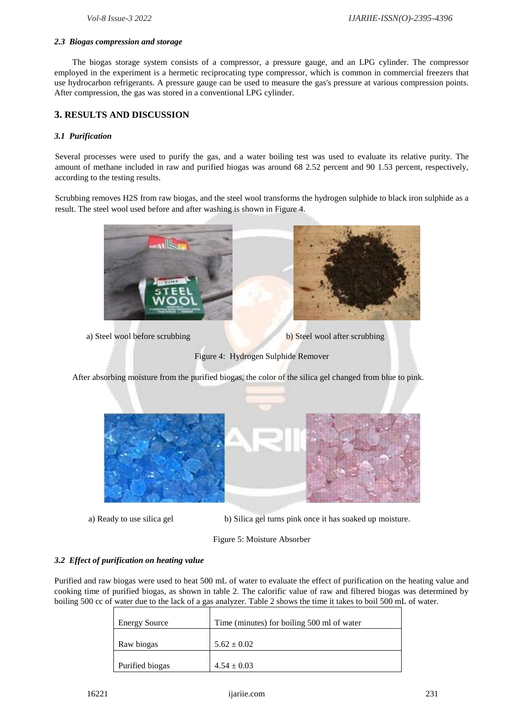#### *2.3 Biogas compression and storage*

The biogas storage system consists of a compressor, a pressure gauge, and an LPG cylinder. The compressor employed in the experiment is a hermetic reciprocating type compressor, which is common in commercial freezers that use hydrocarbon refrigerants. A pressure gauge can be used to measure the gas's pressure at various compression points. After compression, the gas was stored in a conventional LPG cylinder.

## **3. RESULTS AND DISCUSSION**

#### *3.1 Purification*

Several processes were used to purify the gas, and a water boiling test was used to evaluate its relative purity. The amount of methane included in raw and purified biogas was around 68 2.52 percent and 90 1.53 percent, respectively, according to the testing results.

Scrubbing removes H2S from raw biogas, and the steel wool transforms the hydrogen sulphide to black iron sulphide as a result. The steel wool used before and after washing is shown in Figure 4.



a) Steel wool before scrubbing b) Steel wool after scrubbing

Figure 4: Hydrogen Sulphide Remover

After absorbing moisture from the purified biogas, the color of the silica gel changed from blue to pink.



a) Ready to use silica gel b) Silica gel turns pink once it has soaked up moisture.

#### Figure 5: Moisture Absorber

#### *3.2 Effect of purification on heating value*

Purified and raw biogas were used to heat 500 mL of water to evaluate the effect of purification on the heating value and cooking time of purified biogas, as shown in table 2. The calorific value of raw and filtered biogas was determined by boiling 500 cc of water due to the lack of a gas analyzer. Table 2 shows the time it takes to boil 500 mL of water.

| <b>Energy Source</b> | Time (minutes) for boiling 500 ml of water |
|----------------------|--------------------------------------------|
| Raw biogas           | $5.62 \pm 0.02$                            |
| Purified biogas      | $4.54 \pm 0.03$                            |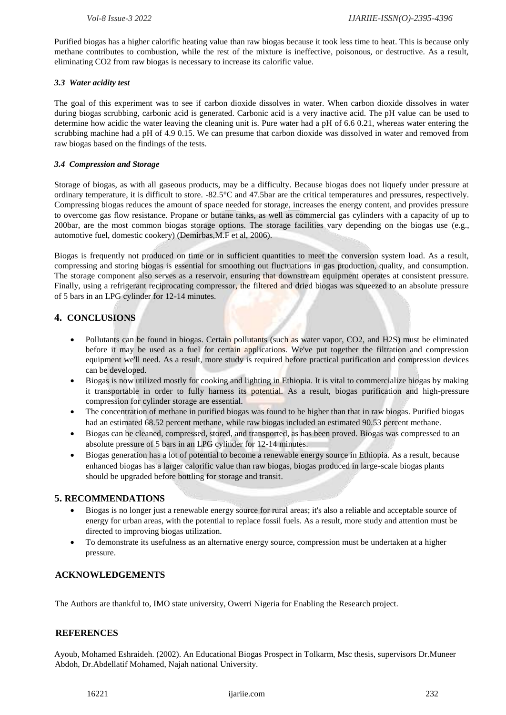Purified biogas has a higher calorific heating value than raw biogas because it took less time to heat. This is because only methane contributes to combustion, while the rest of the mixture is ineffective, poisonous, or destructive. As a result, eliminating CO2 from raw biogas is necessary to increase its calorific value.

#### *3.3 Water acidity test*

The goal of this experiment was to see if carbon dioxide dissolves in water. When carbon dioxide dissolves in water during biogas scrubbing, carbonic acid is generated. Carbonic acid is a very inactive acid. The pH value can be used to determine how acidic the water leaving the cleaning unit is. Pure water had a pH of 6.6 0.21, whereas water entering the scrubbing machine had a pH of 4.9 0.15. We can presume that carbon dioxide was dissolved in water and removed from raw biogas based on the findings of the tests.

#### *3.4 Compression and Storage*

Storage of biogas, as with all gaseous products, may be a difficulty. Because biogas does not liquefy under pressure at ordinary temperature, it is difficult to store. -82.5°C and 47.5bar are the critical temperatures and pressures, respectively. Compressing biogas reduces the amount of space needed for storage, increases the energy content, and provides pressure to overcome gas flow resistance. Propane or butane tanks, as well as commercial gas cylinders with a capacity of up to 200bar, are the most common biogas storage options. The storage facilities vary depending on the biogas use (e.g., automotive fuel, domestic cookery) (Demirbas,M.F et al, 2006).

Biogas is frequently not produced on time or in sufficient quantities to meet the conversion system load. As a result, compressing and storing biogas is essential for smoothing out fluctuations in gas production, quality, and consumption. The storage component also serves as a reservoir, ensuring that downstream equipment operates at consistent pressure. Finally, using a refrigerant reciprocating compressor, the filtered and dried biogas was squeezed to an absolute pressure of 5 bars in an LPG cylinder for 12-14 minutes.

# **4. CONCLUSIONS**

- Pollutants can be found in biogas. Certain pollutants (such as water vapor, CO2, and H2S) must be eliminated before it may be used as a fuel for certain applications. We've put together the filtration and compression equipment we'll need. As a result, more study is required before practical purification and compression devices can be developed.
- Biogas is now utilized mostly for cooking and lighting in Ethiopia. It is vital to commercialize biogas by making it transportable in order to fully harness its potential. As a result, biogas purification and high-pressure compression for cylinder storage are essential.
- The concentration of methane in purified biogas was found to be higher than that in raw biogas. Purified biogas had an estimated 68.52 percent methane, while raw biogas included an estimated 90.53 percent methane.
- Biogas can be cleaned, compressed, stored, and transported, as has been proved. Biogas was compressed to an absolute pressure of 5 bars in an LPG cylinder for 12-14 minutes.
- Biogas generation has a lot of potential to become a renewable energy source in Ethiopia. As a result, because enhanced biogas has a larger calorific value than raw biogas, biogas produced in large-scale biogas plants should be upgraded before bottling for storage and transit.

# **5. RECOMMENDATIONS**

- Biogas is no longer just a renewable energy source for rural areas; it's also a reliable and acceptable source of energy for urban areas, with the potential to replace fossil fuels. As a result, more study and attention must be directed to improving biogas utilization.
- To demonstrate its usefulness as an alternative energy source, compression must be undertaken at a higher pressure.

# **ACKNOWLEDGEMENTS**

The Authors are thankful to, IMO state university, Owerri Nigeria for Enabling the Research project.

#### **REFERENCES**

Ayoub, Mohamed Eshraideh. (2002). An Educational Biogas Prospect in Tolkarm, Msc thesis, supervisors Dr.Muneer Abdoh, Dr.Abdellatif Mohamed, Najah national University.